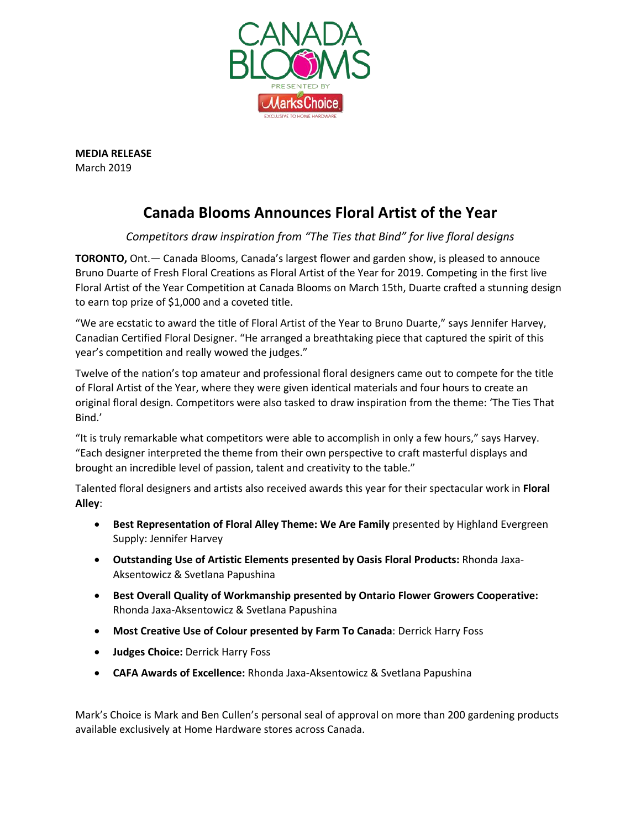

**MEDIA RELEASE** March 2019

# **Canada Blooms Announces Floral Artist of the Year**

## *Competitors draw inspiration from "The Ties that Bind" for live floral designs*

**TORONTO,** Ont.— Canada Blooms, Canada's largest flower and garden show, is pleased to annouce Bruno Duarte of Fresh Floral Creations as Floral Artist of the Year for 2019. Competing in the first live Floral Artist of the Year Competition at Canada Blooms on March 15th, Duarte crafted a stunning design to earn top prize of \$1,000 and a coveted title.

"We are ecstatic to award the title of Floral Artist of the Year to Bruno Duarte," says Jennifer Harvey, Canadian Certified Floral Designer. "He arranged a breathtaking piece that captured the spirit of this year's competition and really wowed the judges."

Twelve of the nation's top amateur and professional floral designers came out to compete for the title of Floral Artist of the Year, where they were given identical materials and four hours to create an original floral design. Competitors were also tasked to draw inspiration from the theme: 'The Ties That Bind.'

"It is truly remarkable what competitors were able to accomplish in only a few hours," says Harvey. "Each designer interpreted the theme from their own perspective to craft masterful displays and brought an incredible level of passion, talent and creativity to the table."

Talented floral designers and artists also received awards this year for their spectacular work in **Floral Alley**:

- **Best Representation of Floral Alley Theme: We Are Family** presented by Highland Evergreen Supply: Jennifer Harvey
- **Outstanding Use of Artistic Elements presented by Oasis Floral Products:** Rhonda Jaxa-Aksentowicz & Svetlana Papushina
- **Best Overall Quality of Workmanship presented by Ontario Flower Growers Cooperative:** Rhonda Jaxa-Aksentowicz & Svetlana Papushina
- **Most Creative Use of Colour presented by Farm To Canada**: Derrick Harry Foss
- **Judges Choice:** Derrick Harry Foss
- **CAFA Awards of Excellence:** Rhonda Jaxa-Aksentowicz & Svetlana Papushina

Mark's Choice is Mark and Ben Cullen's personal seal of approval on more than 200 gardening products available exclusively at Home Hardware stores across Canada.